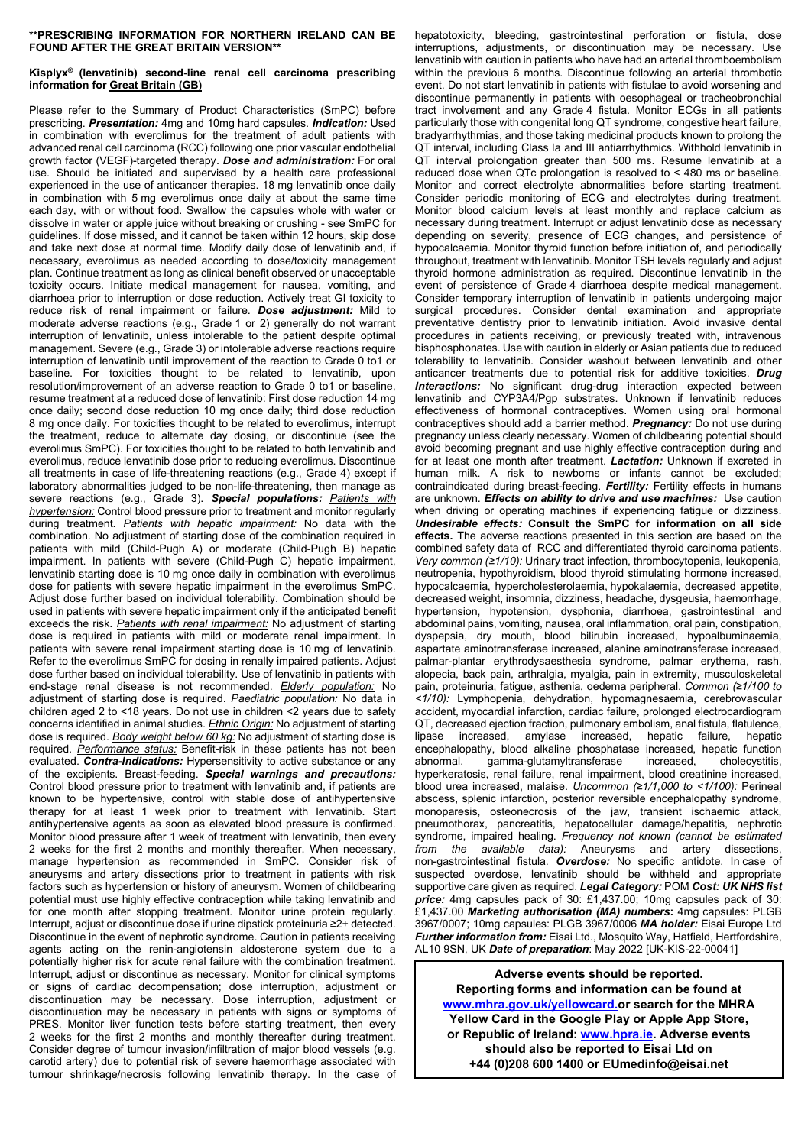## **\*\*PRESCRIBING INFORMATION FOR NORTHERN IRELAND CAN BE FOUND AFTER THE GREAT BRITAIN VERSION\*\***

## **Kisplyx® (lenvatinib) second-line renal cell carcinoma prescribing information for Great Britain (GB)**

Please refer to the Summary of Product Characteristics (SmPC) before prescribing. *Presentation:* 4mg and 10mg hard capsules. *Indication:* Used in combination with everolimus for the treatment of adult patients with advanced renal cell carcinoma (RCC) following one prior vascular endothelial growth factor (VEGF)-targeted therapy. *Dose and administration:* For oral use. Should be initiated and supervised by a health care professional experienced in the use of anticancer therapies. 18 mg lenvatinib once daily in combination with 5 mg everolimus once daily at about the same time each day, with or without food. Swallow the capsules whole with water or dissolve in water or apple juice without breaking or crushing - see SmPC for guidelines. If dose missed, and it cannot be taken within 12 hours, skip dose and take next dose at normal time. Modify daily dose of lenvatinib and, if necessary, everolimus as needed according to dose/toxicity management plan. Continue treatment as long as clinical benefit observed or unacceptable toxicity occurs. Initiate medical management for nausea, vomiting, and diarrhoea prior to interruption or dose reduction. Actively treat GI toxicity to reduce risk of renal impairment or failure. *Dose adjustment:* Mild to moderate adverse reactions (e.g., Grade 1 or 2) generally do not warrant interruption of lenvatinib, unless intolerable to the patient despite optimal management. Severe (e.g., Grade 3) or intolerable adverse reactions require interruption of lenvatinib until improvement of the reaction to Grade 0 to1 or baseline. For toxicities thought to be related to lenvatinib, upon resolution/improvement of an adverse reaction to Grade 0 to1 or baseline, resume treatment at a reduced dose of lenvatinib: First dose reduction 14 mg once daily; second dose reduction 10 mg once daily; third dose reduction 8 mg once daily. For toxicities thought to be related to everolimus, interrupt the treatment, reduce to alternate day dosing, or discontinue (see the everolimus SmPC). For toxicities thought to be related to both lenvatinib and everolimus, reduce lenvatinib dose prior to reducing everolimus. Discontinue all treatments in case of life-threatening reactions (e.g., Grade 4) except if laboratory abnormalities judged to be non-life-threatening, then manage as severe reactions (e.g., Grade 3). *Special populations: Patients with hypertension:* Control blood pressure prior to treatment and monitor regularly during treatment. *Patients with hepatic impairment:* No data with the combination. No adjustment of starting dose of the combination required in patients with mild (Child-Pugh A) or moderate (Child-Pugh B) hepatic impairment. In patients with severe (Child-Pugh C) hepatic impairment, lenvatinib starting dose is 10 mg once daily in combination with everolimus dose for patients with severe hepatic impairment in the everolimus SmPC. Adjust dose further based on individual tolerability. Combination should be used in patients with severe hepatic impairment only if the anticipated benefit exceeds the risk. *Patients with renal impairment:* No adjustment of starting dose is required in patients with mild or moderate renal impairment. In patients with severe renal impairment starting dose is 10 mg of lenvatinib. Refer to the everolimus SmPC for dosing in renally impaired patients. Adjust dose further based on individual tolerability. Use of lenvatinib in patients with end-stage renal disease is not recommended. *Elderly population:* No adjustment of starting dose is required. *Paediatric population:* No data in children aged 2 to <18 years. Do not use in children <2 years due to safety concerns identified in animal studies. *Ethnic Origin:* No adjustment of starting dose is required. *Body weight below 60 kg:* No adjustment of starting dose is required. *Performance status:* Benefit-risk in these patients has not been evaluated. *Contra-Indications:* Hypersensitivity to active substance or any of the excipients. Breast-feeding. *Special warnings and precautions:* Control blood pressure prior to treatment with lenvatinib and, if patients are known to be hypertensive, control with stable dose of antihypertensive therapy for at least 1 week prior to treatment with lenvatinib. Start antihypertensive agents as soon as elevated blood pressure is confirmed. Monitor blood pressure after 1 week of treatment with lenvatinib, then every 2 weeks for the first 2 months and monthly thereafter. When necessary, manage hypertension as recommended in SmPC. Consider risk of aneurysms and artery dissections prior to treatment in patients with risk factors such as hypertension or history of aneurysm. Women of childbearing potential must use highly effective contraception while taking lenvatinib and for one month after stopping treatment. Monitor urine protein regularly. Interrupt, adjust or discontinue dose if urine dipstick proteinuria ≥2+ detected. Discontinue in the event of nephrotic syndrome. Caution in patients receiving agents acting on the renin-angiotensin aldosterone system due to a potentially higher risk for acute renal failure with the combination treatment. Interrupt, adjust or discontinue as necessary. Monitor for clinical symptoms or signs of cardiac decompensation; dose interruption, adjustment or discontinuation may be necessary. Dose interruption, adjustment or discontinuation may be necessary in patients with signs or symptoms of PRES. Monitor liver function tests before starting treatment, then every 2 weeks for the first 2 months and monthly thereafter during treatment. Consider degree of tumour invasion/infiltration of major blood vessels (e.g. carotid artery) due to potential risk of severe haemorrhage associated with tumour shrinkage/necrosis following lenvatinib therapy. In the case of

hepatotoxicity, bleeding, gastrointestinal perforation or fistula, dose interruptions, adjustments, or discontinuation may be necessary. Use lenvatinib with caution in patients who have had an arterial thromboembolism within the previous 6 months. Discontinue following an arterial thrombotic event. Do not start lenvatinib in patients with fistulae to avoid worsening and discontinue permanently in patients with oesophageal or tracheobronchial tract involvement and any Grade 4 fistula. Monitor ECGs in all patients particularly those with congenital long QT syndrome, congestive heart failure, bradyarrhythmias, and those taking medicinal products known to prolong the QT interval, including Class Ia and III antiarrhythmics. Withhold lenvatinib in QT interval prolongation greater than 500 ms. Resume lenvatinib at a reduced dose when QTc prolongation is resolved to < 480 ms or baseline. Monitor and correct electrolyte abnormalities before starting treatment. Consider periodic monitoring of ECG and electrolytes during treatment. Monitor blood calcium levels at least monthly and replace calcium as necessary during treatment. Interrupt or adjust lenvatinib dose as necessary depending on severity, presence of ECG changes, and persistence of hypocalcaemia. Monitor thyroid function before initiation of, and periodically throughout, treatment with lenvatinib. Monitor TSH levels regularly and adjust thyroid hormone administration as required. Discontinue lenvatinib in the event of persistence of Grade 4 diarrhoea despite medical management. Consider temporary interruption of lenvatinib in patients undergoing major surgical procedures. Consider dental examination and appropriate preventative dentistry prior to lenvatinib initiation. Avoid invasive dental procedures in patients receiving, or previously treated with, intravenous bisphosphonates. Use with caution in elderly or Asian patients due to reduced tolerability to lenvatinib. Consider washout between lenvatinib and other anticancer treatments due to potential risk for additive toxicities. *Drug Interactions:* No significant drug-drug interaction expected between lenvatinib and CYP3A4/Pgp substrates. Unknown if lenvatinib reduces effectiveness of hormonal contraceptives. Women using oral hormonal contraceptives should add a barrier method. *Pregnancy:* Do not use during pregnancy unless clearly necessary. Women of childbearing potential should avoid becoming pregnant and use highly effective contraception during and for at least one month after treatment. *Lactation:* Unknown if excreted in human milk. A risk to newborns or infants cannot be excluded; contraindicated during breast-feeding. *Fertility:* Fertility effects in humans are unknown. *Effects on ability to drive and use machines:* Use caution when driving or operating machines if experiencing fatigue or dizziness. *Undesirable effects:* **Consult the SmPC for information on all side effects.** The adverse reactions presented in this section are based on the combined safety data of RCC and differentiated thyroid carcinoma patients. *Very common (≥1/10):* Urinary tract infection, thrombocytopenia, leukopenia, neutropenia, hypothyroidism, blood thyroid stimulating hormone increased, hypocalcaemia, hypercholesterolaemia, hypokalaemia, decreased appetite, decreased weight, insomnia, dizziness, headache, dysgeusia, haemorrhage, hypertension, hypotension, dysphonia, diarrhoea, gastrointestinal and abdominal pains, vomiting, nausea, oral inflammation, oral pain, constipation, dyspepsia, dry mouth, blood bilirubin increased, hypoalbuminaemia, aspartate aminotransferase increased, alanine aminotransferase increased, palmar-plantar erythrodysaesthesia syndrome, palmar erythema, rash, alopecia, back pain, arthralgia, myalgia, pain in extremity, musculoskeletal pain, proteinuria, fatigue, asthenia, oedema peripheral. *Common (≥1/100 to <1/10):* Lymphopenia, dehydration, hypomagnesaemia, cerebrovascular accident, myocardial infarction, cardiac failure, prolonged electrocardiogram QT, decreased ejection fraction, pulmonary embolism, anal fistula, flatulence, lipase increased, amylase increased, hepatic failure, encephalopathy, blood alkaline phosphatase increased, hepatic function abnormal, gamma-glutamyltransferase increased, cholecystitis, hyperkeratosis, renal failure, renal impairment, blood creatinine increased, blood urea increased, malaise. *Uncommon (≥1/1,000 to <1/100):* Perineal abscess, splenic infarction, posterior reversible encephalopathy syndrome, monoparesis, osteonecrosis of the jaw, transient ischaemic attack, pneumothorax, pancreatitis, hepatocellular damage/hepatitis, nephrotic syndrome, impaired healing. *Frequency not known (cannot be estimated from the available data):* Aneurysms and artery dissections, non-gastrointestinal fistula. *Overdose:* No specific antidote. In case of suspected overdose, lenvatinib should be withheld and appropriate supportive care given as required. *Legal Category:* POM *Cost: UK NHS list price:* 4mg capsules pack of 30: £1,437.00; 10mg capsules pack of 30: £1,437.00 *Marketing authorisation (MA) numbers***:** 4mg capsules: PLGB 3967/0007; 10mg capsules: PLGB 3967/0006 *MA holder:* Eisai Europe Ltd *Further information from:* Eisai Ltd., Mosquito Way, Hatfield, Hertfordshire, AL10 9SN, UK *Date of preparation*: May 2022 [UK-KIS-22-00041]

**Adverse events should be reported. Reporting forms and information can be found at [www.mhra.gov.uk/yellowcard.o](http://www.mhra.gov.uk/yellowcard)r search for the MHRA Yellow Card in the Google Play or Apple App Store, or Republic of Ireland[: www.hpra.ie.](http://www.hpra.ie/) Adverse events should also be reported to Eisai Ltd on +44 (0)208 600 1400 o[r EUmedinfo@eisai.net](mailto:EUmedinfo@eisai.net)**